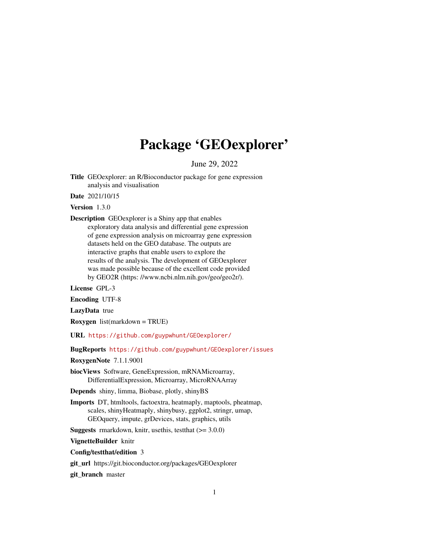## Package 'GEOexplorer'

June 29, 2022

Title GEOexplorer: an R/Bioconductor package for gene expression analysis and visualisation

Date 2021/10/15

Version 1.3.0

Description GEOexplorer is a Shiny app that enables exploratory data analysis and differential gene expression of gene expression analysis on microarray gene expression datasets held on the GEO database. The outputs are interactive graphs that enable users to explore the results of the analysis. The development of GEOexplorer was made possible because of the excellent code provided by GEO2R (https: //www.ncbi.nlm.nih.gov/geo/geo2r/).

License GPL-3

Encoding UTF-8

LazyData true

Roxygen list(markdown = TRUE)

URL <https://github.com/guypwhunt/GEOexplorer/>

BugReports <https://github.com/guypwhunt/GEOexplorer/issues>

RoxygenNote 7.1.1.9001

biocViews Software, GeneExpression, mRNAMicroarray, DifferentialExpression, Microarray, MicroRNAArray

Depends shiny, limma, Biobase, plotly, shinyBS

Imports DT, htmltools, factoextra, heatmaply, maptools, pheatmap, scales, shinyHeatmaply, shinybusy, ggplot2, stringr, umap, GEOquery, impute, grDevices, stats, graphics, utils

**Suggests** rmarkdown, knitr, usethis, test that  $(>= 3.0.0)$ 

VignetteBuilder knitr

Config/testthat/edition 3

git\_url https://git.bioconductor.org/packages/GEOexplorer

git\_branch master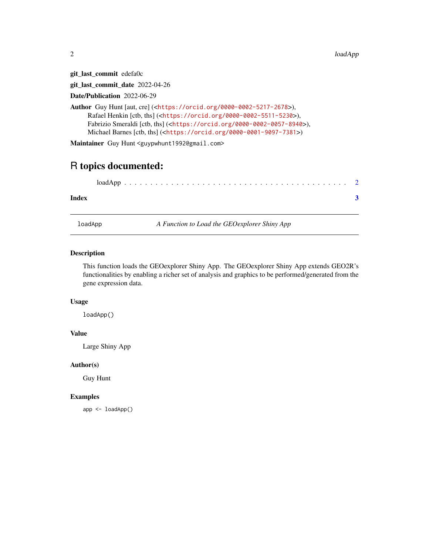$2$  loadApp and the contract of the contract of the contract of the contract of the contract of the contract of the contract of the contract of the contract of the contract of the contract of the contract of the contract

git\_last\_commit edefa0c

git\_last\_commit\_date 2022-04-26

Date/Publication 2022-06-29

Author Guy Hunt [aut, cre] (<<https://orcid.org/0000-0002-5217-2678>>), Rafael Henkin [ctb, ths] (<<https://orcid.org/0000-0002-5511-5230>>), Fabrizio Smeraldi [ctb, ths] (<<https://orcid.org/0000-0002-0057-8940>>), Michael Barnes [ctb, ths] (<<https://orcid.org/0000-0001-9097-7381>>)

Maintainer Guy Hunt <guypwhunt1992@gmail.com>

### R topics documented:

| Index |  |
|-------|--|

loadApp *A Function to Load the GEOexplorer Shiny App*

#### Description

This function loads the GEOexplorer Shiny App. The GEOexplorer Shiny App extends GEO2R's functionalities by enabling a richer set of analysis and graphics to be performed/generated from the gene expression data.

#### Usage

loadApp()

#### Value

Large Shiny App

#### Author(s)

Guy Hunt

#### Examples

app <- loadApp()

<span id="page-1-0"></span>